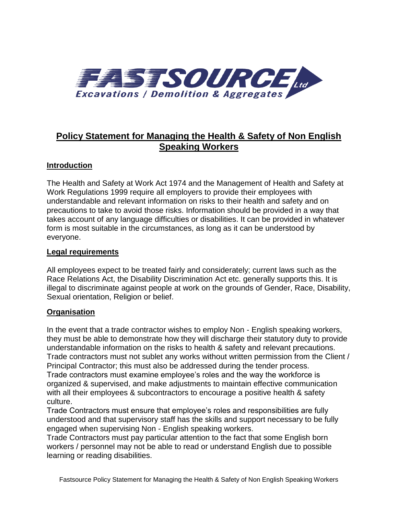

# **Policy Statement for Managing the Health & Safety of Non English Speaking Workers**

### **Introduction**

The Health and Safety at Work Act 1974 and the Management of Health and Safety at Work Regulations 1999 require all employers to provide their employees with understandable and relevant information on risks to their health and safety and on precautions to take to avoid those risks. Information should be provided in a way that takes account of any language difficulties or disabilities. It can be provided in whatever form is most suitable in the circumstances, as long as it can be understood by everyone.

#### **Legal requirements**

All employees expect to be treated fairly and considerately; current laws such as the Race Relations Act, the Disability Discrimination Act etc. generally supports this. It is illegal to discriminate against people at work on the grounds of Gender, Race, Disability, Sexual orientation, Religion or belief.

#### **Organisation**

In the event that a trade contractor wishes to employ Non - English speaking workers, they must be able to demonstrate how they will discharge their statutory duty to provide understandable information on the risks to health & safety and relevant precautions. Trade contractors must not sublet any works without written permission from the Client / Principal Contractor; this must also be addressed during the tender process. Trade contractors must examine employee's roles and the way the workforce is organized & supervised, and make adjustments to maintain effective communication with all their employees & subcontractors to encourage a positive health & safety culture.

Trade Contractors must ensure that employee's roles and responsibilities are fully understood and that supervisory staff has the skills and support necessary to be fully engaged when supervising Non - English speaking workers.

Trade Contractors must pay particular attention to the fact that some English born workers / personnel may not be able to read or understand English due to possible learning or reading disabilities.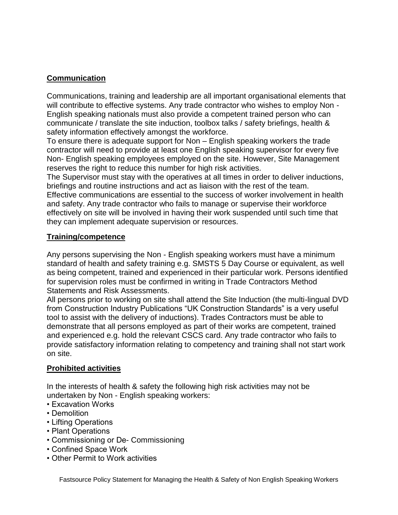# **Communication**

Communications, training and leadership are all important organisational elements that will contribute to effective systems. Any trade contractor who wishes to employ Non - English speaking nationals must also provide a competent trained person who can communicate / translate the site induction, toolbox talks / safety briefings, health & safety information effectively amongst the workforce.

To ensure there is adequate support for Non – English speaking workers the trade contractor will need to provide at least one English speaking supervisor for every five Non- English speaking employees employed on the site. However, Site Management reserves the right to reduce this number for high risk activities.

The Supervisor must stay with the operatives at all times in order to deliver inductions, briefings and routine instructions and act as liaison with the rest of the team. Effective communications are essential to the success of worker involvement in health and safety. Any trade contractor who fails to manage or supervise their workforce effectively on site will be involved in having their work suspended until such time that they can implement adequate supervision or resources.

### **Training/competence**

Any persons supervising the Non - English speaking workers must have a minimum standard of health and safety training e.g. SMSTS 5 Day Course or equivalent, as well as being competent, trained and experienced in their particular work. Persons identified for supervision roles must be confirmed in writing in Trade Contractors Method Statements and Risk Assessments.

All persons prior to working on site shall attend the Site Induction (the multi-lingual DVD from Construction Industry Publications "UK Construction Standards" is a very useful tool to assist with the delivery of inductions). Trades Contractors must be able to demonstrate that all persons employed as part of their works are competent, trained and experienced e.g. hold the relevant CSCS card. Any trade contractor who fails to provide satisfactory information relating to competency and training shall not start work on site.

# **Prohibited activities**

In the interests of health & safety the following high risk activities may not be undertaken by Non - English speaking workers:

- Excavation Works
- Demolition
- Lifting Operations
- Plant Operations
- Commissioning or De- Commissioning
- Confined Space Work
- Other Permit to Work activities

Fastsource Policy Statement for Managing the Health & Safety of Non English Speaking Workers